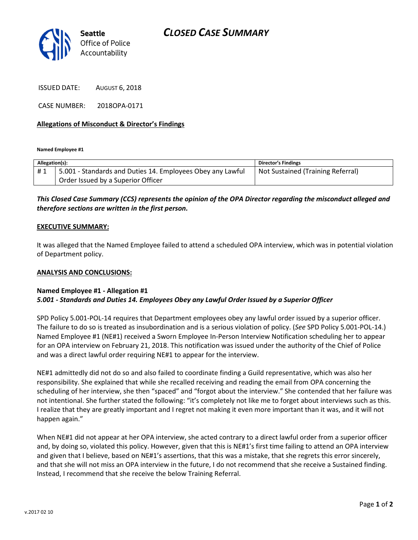

ISSUED DATE: AUGUST 6, 2018

CASE NUMBER: 2018OPA-0171

### Allegations of Misconduct & Director's Findings

Named Employee #1

| Allegation(s): |                                                            | <b>Director's Findings</b>        |
|----------------|------------------------------------------------------------|-----------------------------------|
| #1             | 5.001 - Standards and Duties 14. Employees Obey any Lawful | Not Sustained (Training Referral) |
|                | Order Issued by a Superior Officer                         |                                   |

# This Closed Case Summary (CCS) represents the opinion of the OPA Director regarding the misconduct alleged and therefore sections are written in the first person.

#### EXECUTIVE SUMMARY:

It was alleged that the Named Employee failed to attend a scheduled OPA interview, which was in potential violation of Department policy.

#### ANALYSIS AND CONCLUSIONS:

## Named Employee #1 - Allegation #1 5.001 - Standards and Duties 14. Employees Obey any Lawful Order Issued by a Superior Officer

SPD Policy 5.001-POL-14 requires that Department employees obey any lawful order issued by a superior officer. The failure to do so is treated as insubordination and is a serious violation of policy. (See SPD Policy 5.001-POL-14.) Named Employee #1 (NE#1) received a Sworn Employee In-Person Interview Notification scheduling her to appear for an OPA interview on February 21, 2018. This notification was issued under the authority of the Chief of Police and was a direct lawful order requiring NE#1 to appear for the interview.

NE#1 admittedly did not do so and also failed to coordinate finding a Guild representative, which was also her responsibility. She explained that while she recalled receiving and reading the email from OPA concerning the scheduling of her interview, she then "spaced" and "forgot about the interview." She contended that her failure was not intentional. She further stated the following: "it's completely not like me to forget about interviews such as this. I realize that they are greatly important and I regret not making it even more important than it was, and it will not happen again."

When NE#1 did not appear at her OPA interview, she acted contrary to a direct lawful order from a superior officer and, by doing so, violated this policy. However, given that this is NE#1's first time failing to attend an OPA interview and given that I believe, based on NE#1's assertions, that this was a mistake, that she regrets this error sincerely, and that she will not miss an OPA interview in the future, I do not recommend that she receive a Sustained finding. Instead, I recommend that she receive the below Training Referral.